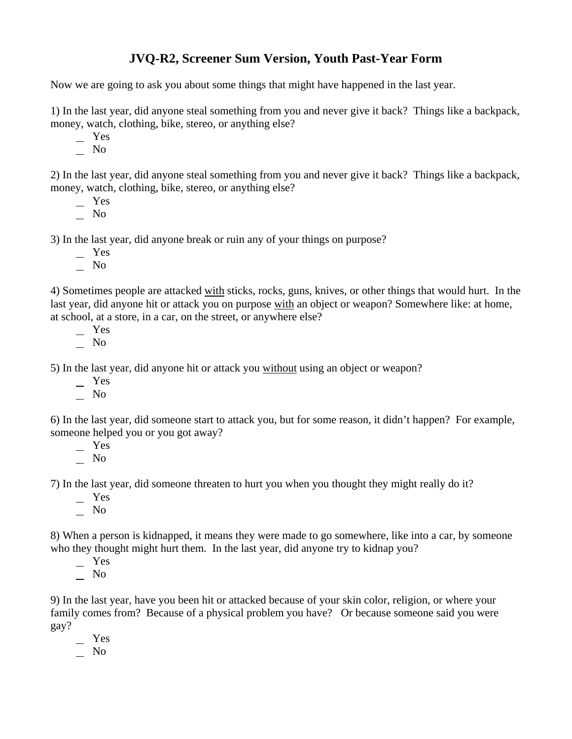## **JVQ-R2, Screener Sum Version, Youth Past-Year Form**

Now we are going to ask you about some things that might have happened in the last year.

1) In the last year, did anyone steal something from you and never give it back? Things like a backpack, money, watch, clothing, bike, stereo, or anything else?

Yes

 $\overline{\phantom{0}}$  No

2) In the last year, did anyone steal something from you and never give it back? Things like a backpack, money, watch, clothing, bike, stereo, or anything else?

- Yes
- No

3) In the last year, did anyone break or ruin any of your things on purpose?

- Yes
- $\overline{\phantom{0}}$  No

4) Sometimes people are attacked with sticks, rocks, guns, knives, or other things that would hurt. In the last year, did anyone hit or attack you on purpose with an object or weapon? Somewhere like: at home, at school, at a store, in a car, on the street, or anywhere else?

 Yes No

5) In the last year, did anyone hit or attack you without using an object or weapon?

- Yes
- No

6) In the last year, did someone start to attack you, but for some reason, it didn't happen? For example, someone helped you or you got away?

 Yes  $\overline{\phantom{0}}$  No

7) In the last year, did someone threaten to hurt you when you thought they might really do it?

- Yes
- No

8) When a person is kidnapped, it means they were made to go somewhere, like into a car, by someone who they thought might hurt them. In the last year, did anyone try to kidnap you?

Yes

 $\overline{\phantom{0}}$  No

9) In the last year, have you been hit or attacked because of your skin color, religion, or where your family comes from? Because of a physical problem you have? Or because someone said you were gay?

- Yes
- No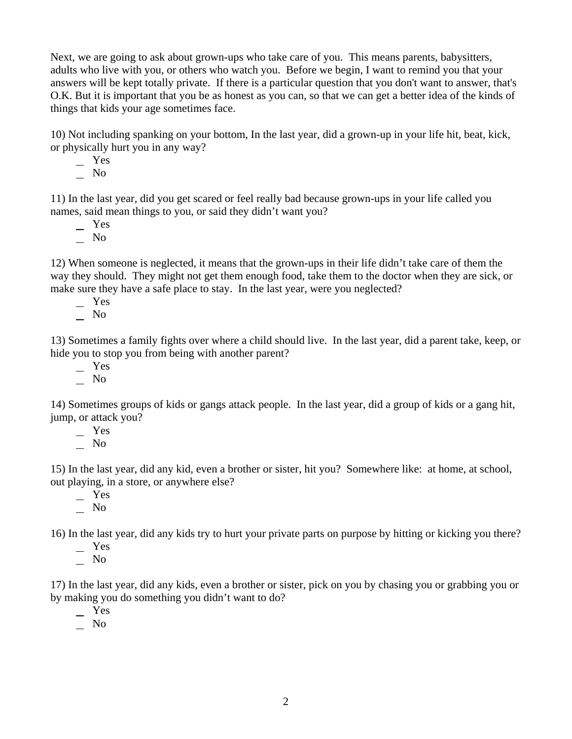Next, we are going to ask about grown-ups who take care of you. This means parents, babysitters, adults who live with you, or others who watch you. Before we begin, I want to remind you that your answers will be kept totally private. If there is a particular question that you don't want to answer, that's O.K. But it is important that you be as honest as you can, so that we can get a better idea of the kinds of things that kids your age sometimes face.

10) Not including spanking on your bottom, In the last year, did a grown-up in your life hit, beat, kick, or physically hurt you in any way?

 Yes  $\overline{\phantom{0}}$  No

11) In the last year, did you get scared or feel really bad because grown-ups in your life called you names, said mean things to you, or said they didn't want you?

 Yes  $\overline{\phantom{0}}$  No

12) When someone is neglected, it means that the grown-ups in their life didn't take care of them the way they should. They might not get them enough food, take them to the doctor when they are sick, or make sure they have a safe place to stay. In the last year, were you neglected?

Yes

 $\overline{\phantom{0}}$  No

13) Sometimes a family fights over where a child should live. In the last year, did a parent take, keep, or hide you to stop you from being with another parent?

Yes

No

14) Sometimes groups of kids or gangs attack people. In the last year, did a group of kids or a gang hit, jump, or attack you?

Yes

 $\overline{\phantom{0}}$  No

15) In the last year, did any kid, even a brother or sister, hit you? Somewhere like: at home, at school, out playing, in a store, or anywhere else?

 Yes No

16) In the last year, did any kids try to hurt your private parts on purpose by hitting or kicking you there?

- Yes
- No

17) In the last year, did any kids, even a brother or sister, pick on you by chasing you or grabbing you or by making you do something you didn't want to do?

 Yes  $\overline{\phantom{0}}$  No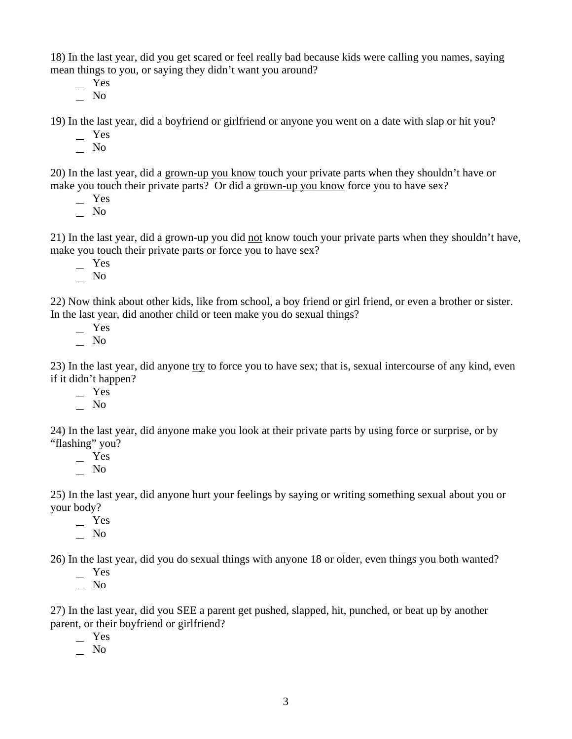18) In the last year, did you get scared or feel really bad because kids were calling you names, saying mean things to you, or saying they didn't want you around?

 Yes  $\overline{\phantom{a}}$  No

19) In the last year, did a boyfriend or girlfriend or anyone you went on a date with slap or hit you?

 $-$  Yes

No

20) In the last year, did a grown-up you know touch your private parts when they shouldn't have or make you touch their private parts? Or did a grown-up you know force you to have sex?

Yes

 $\overline{\phantom{0}}$  No

21) In the last year, did a grown-up you did not know touch your private parts when they shouldn't have, make you touch their private parts or force you to have sex?

 Yes  $\overline{\phantom{0}}$  No

22) Now think about other kids, like from school, a boy friend or girl friend, or even a brother or sister. In the last year, did another child or teen make you do sexual things?

 Yes No

23) In the last year, did anyone try to force you to have sex; that is, sexual intercourse of any kind, even if it didn't happen?

- Yes

 $\overline{\phantom{0}}$  No

24) In the last year, did anyone make you look at their private parts by using force or surprise, or by "flashing" you?

 Yes No

25) In the last year, did anyone hurt your feelings by saying or writing something sexual about you or your body?

 Yes  $\overline{\phantom{0}}$  No

26) In the last year, did you do sexual things with anyone 18 or older, even things you both wanted?

 Yes  $\overline{\phantom{0}}$  No

27) In the last year, did you SEE a parent get pushed, slapped, hit, punched, or beat up by another parent, or their boyfriend or girlfriend?

 Yes  $\overline{\phantom{0}}$  No